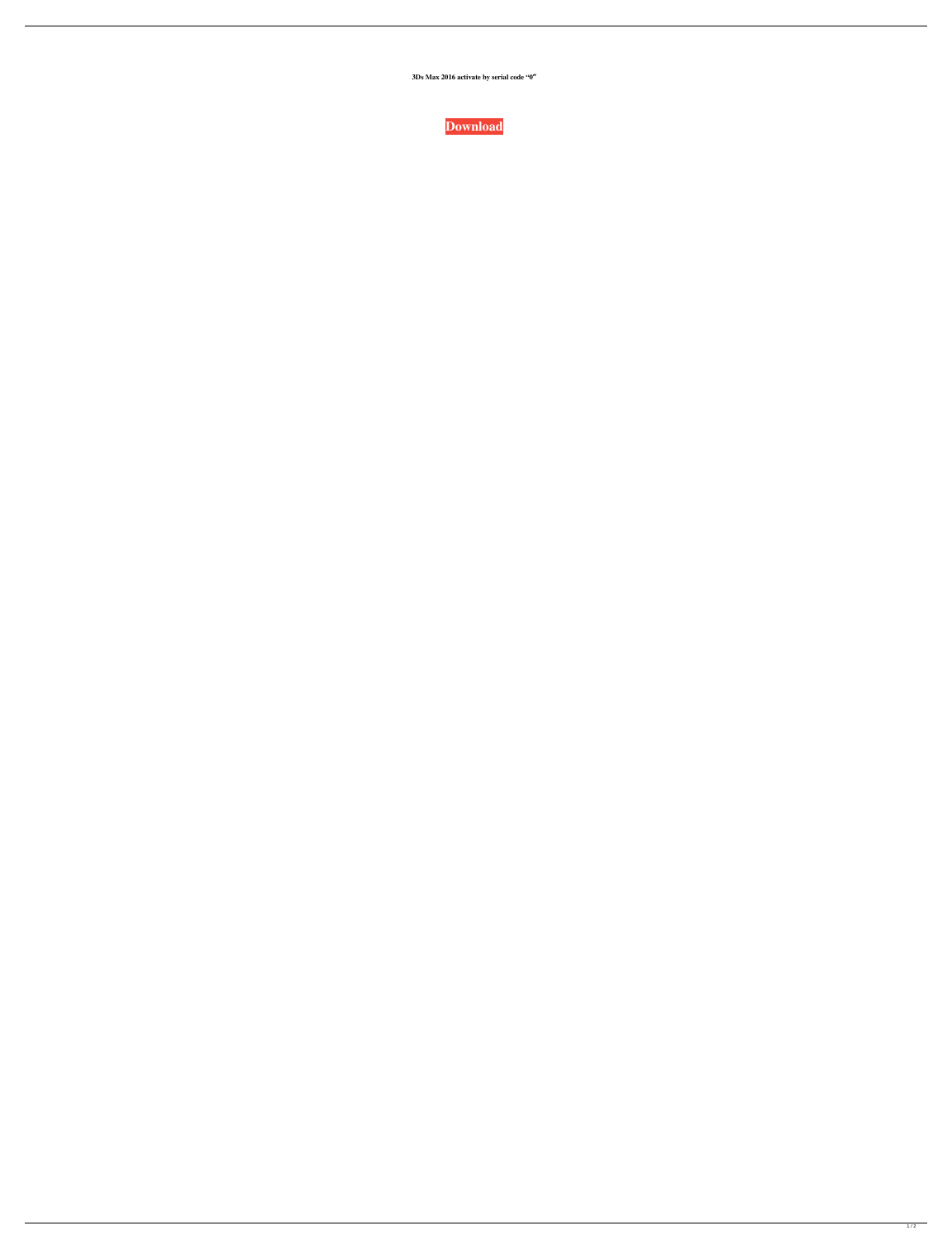**3Ds Max 2016 activate by serial code "0″**